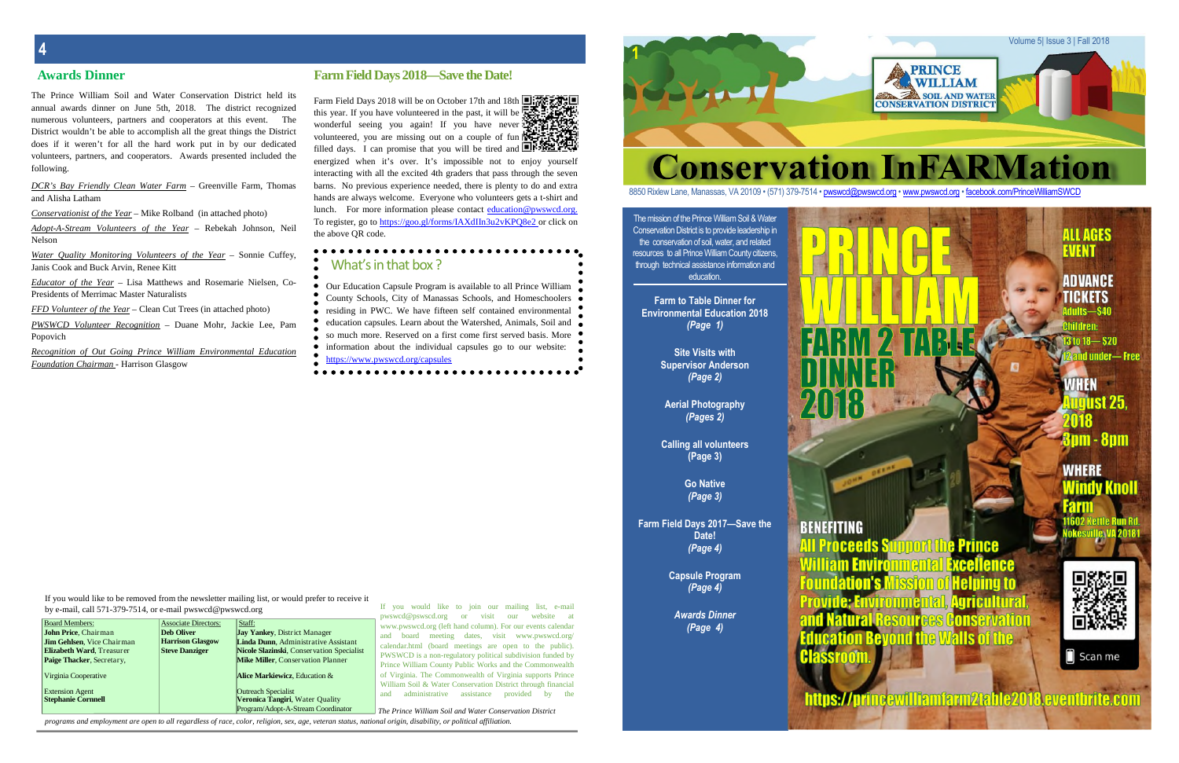The mission of the Prince William Soil & Water Conservation District is to provide leadership in the conservation of soil, water, and related resources to all Prince William County citizens, through technical assistance information and education.

**Farm to Table Dinner for Environmental Education 2018** *(Page 1)*

> **Site Visits with Supervisor Anderson** *(Page 2)*

**Aerial Photography** *(Pages 2)*

**Calling all volunteers (Page 3)**

> **Go Native** *(Page 3)*

**Farm Field Days 2017—Save the Date!** *(Page 4)*

> **Capsule Program** *(Page 4)*

> > *Awards Dinner (Page 4)*

**1**

Farm Field Days 2018 will be on October 17th and 18th this year. If you have volunteered in the past, it will be  $\mathbb{R}^2$ wonderful seeing you again! If you have never volunteered, you are missing out on a couple of fun filled days. I can promise that you will be tired and  $\blacksquare$ energized when it's over. It's impossible not to enjoy yourself interacting with all the excited 4th graders that pass through the seven barns. No previous experience needed, there is plenty to do and extra hands are always welcome. Everyone who volunteers gets a t-shirt and lunch. For more information please contact education@pwswcd.org. To register, go to https://goo.gl/forms/IAXdIIn3u2vKPQ8e2 or click on the above QR code.

Volume 5| Issue 3 | Fall 2018

# **Conservation InFARMation**

8850 Rixlew Lane, Manassas, VA 20109 • (571) 379-7514 • pwswcd@pwswcd.org • www.pwswcd.org • facebook.com/PrinceWilliamSWCD

**PRINCE WILLIAM** SOIL AND WATER **CONSERVATION DISTRICT** 

# ALL AGES Farm Table Dinner Environmental Education 2017

**ADVANCE** TICKETS dults-\$40

ildren:  $31018 - 20$ nd under—Free

**WHEN Tourst 25** 8pm - 8pm

**WHERE** Vindy Knoll



**All Proceeds S** Prince Excellence Helnina to **<u>Igricultural</u>** AMON alisi

Scan me

williamfarm2table2018 aventhrite.com

### **4**

Milliam Enviro Foundation's

**BENEFITING** 

### **Awards Dinner Farm Field Days 2018—Save the Date!**

The Prince William Soil and Water Conservation District held its annual awards dinner on June 5th, 2018. The district recognized numerous volunteers, partners and cooperators at this event. The District wouldn't be able to accomplish all the great things the District does if it weren't for all the hard work put in by our dedicated volunteers, partners, and cooperators. Awards presented included the following.

*DCR's Bay Friendly Clean Water Farm* – Greenville Farm, Thomas and Alisha Latham

*Conservationist of the Year* – Mike Rolband (in attached photo)

*Adopt-A-Stream Volunteers of the Year* – Rebekah Johnson, Neil Nelson

*Water Quality Monitoring Volunteers of the Year* – Sonnie Cuffey, Janis Cook and Buck Arvin, Renee Kitt

*Educator of the Year* – Lisa Matthews and Rosemarie Nielsen, Co-Presidents of Merrimac Master Naturalists

*FFD Volunteer of the Year* – Clean Cut Trees (in attached photo)

*PWSWCD Volunteer Recognition* – Duane Mohr, Jackie Lee, Pam Popovich

*Recognition of Out Going Prince William Environmental Education Foundation Chairman* - Harrison Glasgow

| $\sigma$ , c man, can $\sigma$ , i $\sigma$ , $\sigma$ is it, or c man provided provided, $\sigma$ |                             |                                           | visit<br>pwswcd@pswscd.org<br>website<br><b>or</b><br>our<br>- at |
|----------------------------------------------------------------------------------------------------|-----------------------------|-------------------------------------------|-------------------------------------------------------------------|
| <b>Board Members:</b>                                                                              | <b>Associate Directors:</b> | Staff:                                    | www.pwswcd.org (left hand column). For our events calendar        |
| John Price, Chairman                                                                               | <b>Deb Oliver</b>           | <b>Jay Yankey, District Manager</b>       | board meeting dates, visit www.pwswcd.org/<br>and                 |
| <b>Jim Gehlsen.</b> Vice Chairman                                                                  | <b>Harrison Glasgow</b>     | Linda Dunn, Administrative Assistant      | calendar.html (board meetings are open to the public).            |
| <b>Elizabeth Ward, Treasurer</b>                                                                   | <b>Steve Danziger</b>       | Nicole Slazinski, Conservation Specialist |                                                                   |
| Paige Thacker, Secretary,                                                                          |                             | <b>Mike Miller, Conservation Planner</b>  | PWSWCD is a non-regulatory political subdivision funded by        |
|                                                                                                    |                             |                                           | Prince William County Public Works and the Commonwealth           |
| Virginia Cooperative                                                                               |                             | Alice Markiewicz. Education &             | of Virginia. The Commonwealth of Virginia supports Prince         |
|                                                                                                    |                             |                                           | William Soil & Water Conservation District through financial      |
| <b>Extension Agent</b>                                                                             |                             | <b>Outreach Specialist</b>                | administrative<br>provided<br>assistance<br>hv<br>the<br>and      |
| <b>Stephanie Cornnell</b>                                                                          |                             | <b>Veronica Tangiri, Water Quality</b>    |                                                                   |
|                                                                                                    |                             | Program/Adopt-A-Stream Coordinator        | The Prince William Soil and Water Conservation District           |

programs and employment are open to all regardless of race, color, religion, sex, age, veteran status, national origin, disability, or political affiliation.

Our Education Capsule Program is available to all Prince William County Schools, City of Manassas Schools, and Homeschoolers residing in PWC. We have fifteen self contained environmental education capsules. Learn about the Watershed, Animals, Soil and so much more. Reserved on a first come first served basis. More information about the individual capsules go to our website: https://www.pwswcd.org/capsules

 $\bullet\bullet\bullet\bullet\bullet\bullet\bullet\bullet\bullet$ 

## What's in that box ?

If you would like to be removed from the newsletter mailing list, or would prefer to receive it

by e-mail, call 571-379-7514, or e-mail pwswcd@pwswcd.org

If you would like to join our mailing list, e-mail